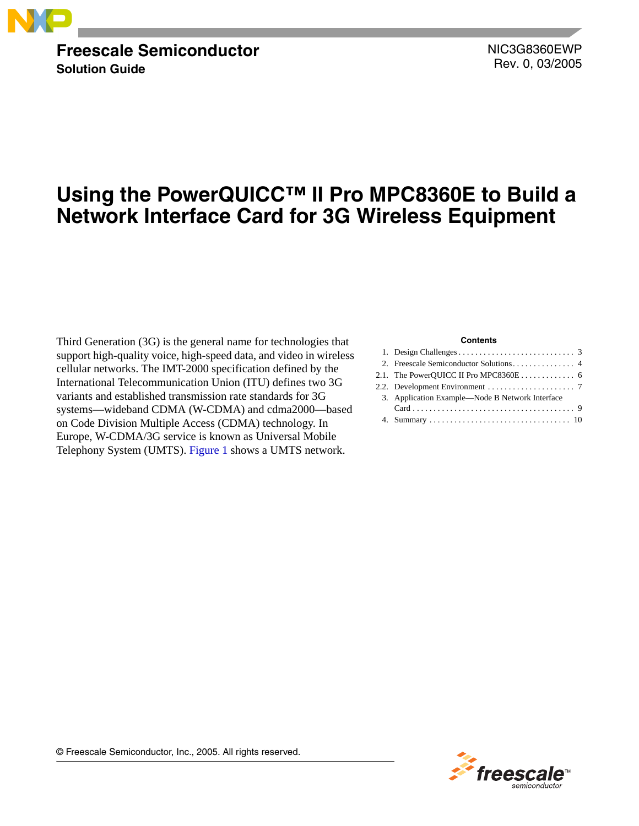

## **Freescale Semiconductor Solution Guide**

NIC3G8360EWP Rev. 0, 03/2005

# **Using the PowerQUICC™ II Pro MPC8360E to Build a Network Interface Card for 3G Wireless Equipment**

Third Generation (3G) is the general name for technologies that support high-quality voice, high-speed data, and video in wireless cellular networks. The IMT-2000 specification defined by the International Telecommunication Union (ITU) defines two 3G variants and established transmission rate standards for 3G systems—wideband CDMA (W-CDMA) and cdma2000—based on Code Division Multiple Access (CDMA) technology. In Europe, W-CDMA/3G service is known as Universal Mobile Telephony System (UMTS). [Figure 1](#page-1-0) shows a UMTS network.

#### **Contents**

| 3. Application Example—Node B Network Interface |
|-------------------------------------------------|
|                                                 |
|                                                 |



© Freescale Semiconductor, Inc., 2005. All rights reserved.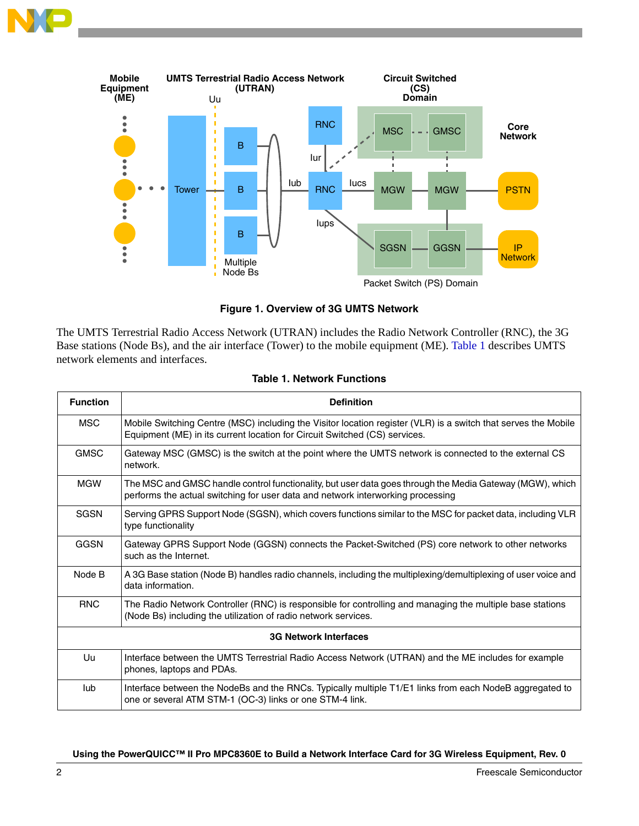



**Figure 1. Overview of 3G UMTS Network**

<span id="page-1-0"></span>The UMTS Terrestrial Radio Access Network (UTRAN) includes the Radio Network Controller (RNC), the 3G Base stations (Node Bs), and the air interface (Tower) to the mobile equipment (ME). [Table 1](#page-1-1) describes UMTS network elements and interfaces.

<span id="page-1-1"></span>

| <b>Function</b>              | <b>Definition</b>                                                                                                                                                                            |  |  |  |  |
|------------------------------|----------------------------------------------------------------------------------------------------------------------------------------------------------------------------------------------|--|--|--|--|
| <b>MSC</b>                   | Mobile Switching Centre (MSC) including the Visitor location register (VLR) is a switch that serves the Mobile<br>Equipment (ME) in its current location for Circuit Switched (CS) services. |  |  |  |  |
| <b>GMSC</b>                  | Gateway MSC (GMSC) is the switch at the point where the UMTS network is connected to the external CS<br>network.                                                                             |  |  |  |  |
| <b>MGW</b>                   | The MSC and GMSC handle control functionality, but user data goes through the Media Gateway (MGW), which<br>performs the actual switching for user data and network interworking processing  |  |  |  |  |
| <b>SGSN</b>                  | Serving GPRS Support Node (SGSN), which covers functions similar to the MSC for packet data, including VLR<br>type functionality                                                             |  |  |  |  |
| GGSN                         | Gateway GPRS Support Node (GGSN) connects the Packet-Switched (PS) core network to other networks<br>such as the Internet.                                                                   |  |  |  |  |
| Node B                       | A 3G Base station (Node B) handles radio channels, including the multiplexing/demultiplexing of user voice and<br>data information.                                                          |  |  |  |  |
| <b>RNC</b>                   | The Radio Network Controller (RNC) is responsible for controlling and managing the multiple base stations<br>(Node Bs) including the utilization of radio network services.                  |  |  |  |  |
| <b>3G Network Interfaces</b> |                                                                                                                                                                                              |  |  |  |  |
| Uu                           | Interface between the UMTS Terrestrial Radio Access Network (UTRAN) and the ME includes for example<br>phones, laptops and PDAs.                                                             |  |  |  |  |
| lub                          | Interface between the NodeBs and the RNCs. Typically multiple T1/E1 links from each NodeB aggregated to<br>one or several ATM STM-1 (OC-3) links or one STM-4 link.                          |  |  |  |  |

### **Table 1. Network Functions**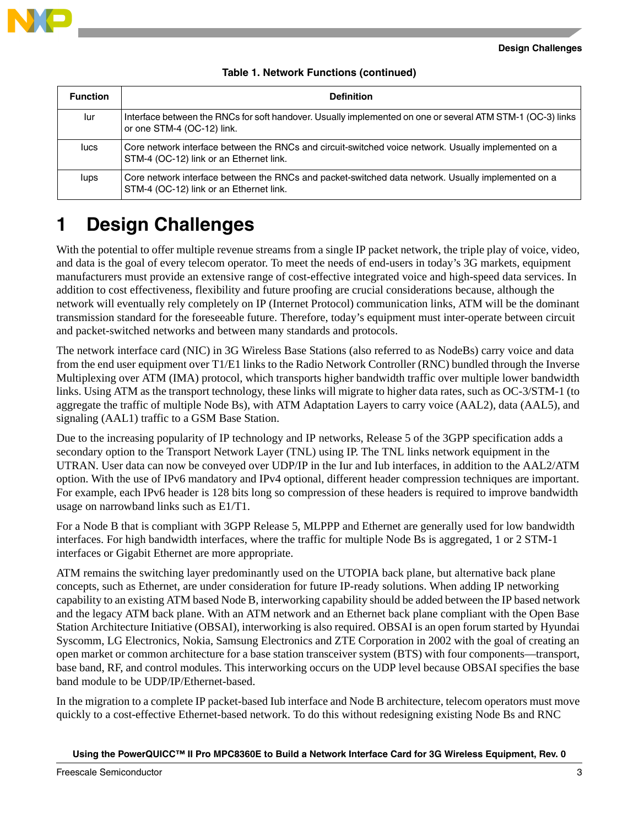

| <b>Table 1. Network Functions (continued)</b> |  |
|-----------------------------------------------|--|
|-----------------------------------------------|--|

| <b>Function</b> | <b>Definition</b>                                                                                                                               |
|-----------------|-------------------------------------------------------------------------------------------------------------------------------------------------|
| lur             | Interface between the RNCs for soft handover. Usually implemented on one or several ATM STM-1 (OC-3) links<br>or one STM-4 (OC-12) link.        |
| lucs            | Core network interface between the RNCs and circuit-switched voice network. Usually implemented on a<br>STM-4 (OC-12) link or an Ethernet link. |
| lups            | Core network interface between the RNCs and packet-switched data network. Usually implemented on a<br>STM-4 (OC-12) link or an Ethernet link.   |

# <span id="page-2-0"></span>**1 Design Challenges**

With the potential to offer multiple revenue streams from a single IP packet network, the triple play of voice, video, and data is the goal of every telecom operator. To meet the needs of end-users in today's 3G markets, equipment manufacturers must provide an extensive range of cost-effective integrated voice and high-speed data services. In addition to cost effectiveness, flexibility and future proofing are crucial considerations because, although the network will eventually rely completely on IP (Internet Protocol) communication links, ATM will be the dominant transmission standard for the foreseeable future. Therefore, today's equipment must inter-operate between circuit and packet-switched networks and between many standards and protocols.

The network interface card (NIC) in 3G Wireless Base Stations (also referred to as NodeBs) carry voice and data from the end user equipment over T1/E1 links to the Radio Network Controller (RNC) bundled through the Inverse Multiplexing over ATM (IMA) protocol, which transports higher bandwidth traffic over multiple lower bandwidth links. Using ATM as the transport technology, these links will migrate to higher data rates, such as OC-3/STM-1 (to aggregate the traffic of multiple Node Bs), with ATM Adaptation Layers to carry voice (AAL2), data (AAL5), and signaling (AAL1) traffic to a GSM Base Station.

Due to the increasing popularity of IP technology and IP networks, Release 5 of the 3GPP specification adds a secondary option to the Transport Network Layer (TNL) using IP. The TNL links network equipment in the UTRAN. User data can now be conveyed over UDP/IP in the Iur and Iub interfaces, in addition to the AAL2/ATM option. With the use of IPv6 mandatory and IPv4 optional, different header compression techniques are important. For example, each IPv6 header is 128 bits long so compression of these headers is required to improve bandwidth usage on narrowband links such as E1/T1.

For a Node B that is compliant with 3GPP Release 5, MLPPP and Ethernet are generally used for low bandwidth interfaces. For high bandwidth interfaces, where the traffic for multiple Node Bs is aggregated, 1 or 2 STM-1 interfaces or Gigabit Ethernet are more appropriate.

ATM remains the switching layer predominantly used on the UTOPIA back plane, but alternative back plane concepts, such as Ethernet, are under consideration for future IP-ready solutions. When adding IP networking capability to an existing ATM based Node B, interworking capability should be added between the IP based network and the legacy ATM back plane. With an ATM network and an Ethernet back plane compliant with the Open Base Station Architecture Initiative (OBSAI), interworking is also required. OBSAI is an open forum started by Hyundai Syscomm, LG Electronics, Nokia, Samsung Electronics and ZTE Corporation in 2002 with the goal of creating an open market or common architecture for a base station transceiver system (BTS) with four components—transport, base band, RF, and control modules. This interworking occurs on the UDP level because OBSAI specifies the base band module to be UDP/IP/Ethernet-based.

In the migration to a complete IP packet-based Iub interface and Node B architecture, telecom operators must move quickly to a cost-effective Ethernet-based network. To do this without redesigning existing Node Bs and RNC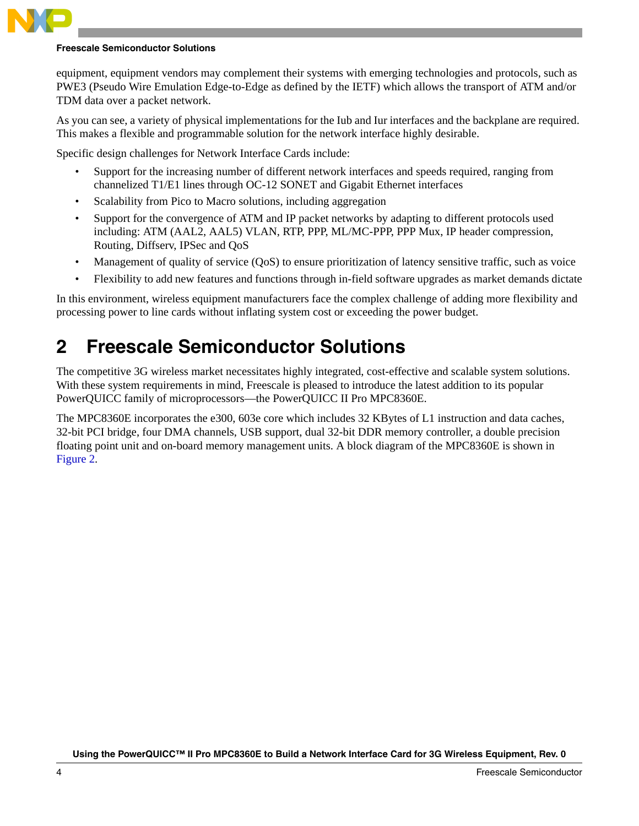

equipment, equipment vendors may complement their systems with emerging technologies and protocols, such as PWE3 (Pseudo Wire Emulation Edge-to-Edge as defined by the IETF) which allows the transport of ATM and/or TDM data over a packet network.

As you can see, a variety of physical implementations for the Iub and Iur interfaces and the backplane are required. This makes a flexible and programmable solution for the network interface highly desirable.

Specific design challenges for Network Interface Cards include:

- Support for the increasing number of different network interfaces and speeds required, ranging from channelized T1/E1 lines through OC-12 SONET and Gigabit Ethernet interfaces
- Scalability from Pico to Macro solutions, including aggregation
- Support for the convergence of ATM and IP packet networks by adapting to different protocols used including: ATM (AAL2, AAL5) VLAN, RTP, PPP, ML/MC-PPP, PPP Mux, IP header compression, Routing, Diffserv, IPSec and QoS
- Management of quality of service (QoS) to ensure prioritization of latency sensitive traffic, such as voice
- Flexibility to add new features and functions through in-field software upgrades as market demands dictate

In this environment, wireless equipment manufacturers face the complex challenge of adding more flexibility and processing power to line cards without inflating system cost or exceeding the power budget.

# <span id="page-3-0"></span>**2 Freescale Semiconductor Solutions**

The competitive 3G wireless market necessitates highly integrated, cost-effective and scalable system solutions. With these system requirements in mind, Freescale is pleased to introduce the latest addition to its popular PowerQUICC family of microprocessors—the PowerQUICC II Pro MPC8360E.

The MPC8360E incorporates the e300, 603e core which includes 32 KBytes of L1 instruction and data caches, 32-bit PCI bridge, four DMA channels, USB support, dual 32-bit DDR memory controller, a double precision floating point unit and on-board memory management units. A block diagram of the MPC8360E is shown in [Figure 2.](#page-4-0)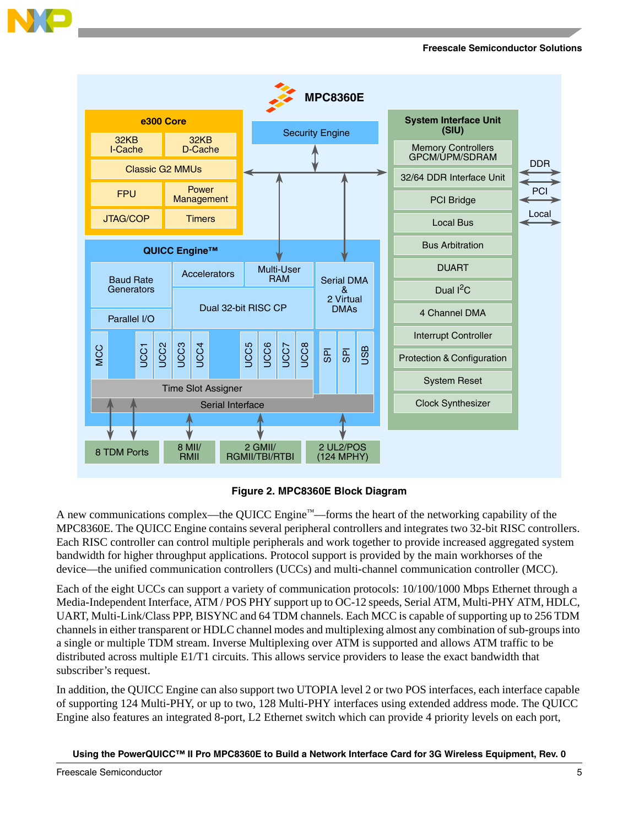



**Figure 2. MPC8360E Block Diagram**

<span id="page-4-0"></span>A new communications complex—the QUICC Engine™—forms the heart of the networking capability of the MPC8360E. The QUICC Engine contains several peripheral controllers and integrates two 32-bit RISC controllers. Each RISC controller can control multiple peripherals and work together to provide increased aggregated system bandwidth for higher throughput applications. Protocol support is provided by the main workhorses of the device—the unified communication controllers (UCCs) and multi-channel communication controller (MCC).

Each of the eight UCCs can support a variety of communication protocols: 10/100/1000 Mbps Ethernet through a Media-Independent Interface, ATM / POS PHY support up to OC-12 speeds, Serial ATM, Multi-PHY ATM, HDLC, UART, Multi-Link/Class PPP, BISYNC and 64 TDM channels. Each MCC is capable of supporting up to 256 TDM channels in either transparent or HDLC channel modes and multiplexing almost any combination of sub-groups into a single or multiple TDM stream. Inverse Multiplexing over ATM is supported and allows ATM traffic to be distributed across multiple E1/T1 circuits. This allows service providers to lease the exact bandwidth that subscriber's request.

In addition, the QUICC Engine can also support two UTOPIA level 2 or two POS interfaces, each interface capable of supporting 124 Multi-PHY, or up to two, 128 Multi-PHY interfaces using extended address mode. The QUICC Engine also features an integrated 8-port, L2 Ethernet switch which can provide 4 priority levels on each port,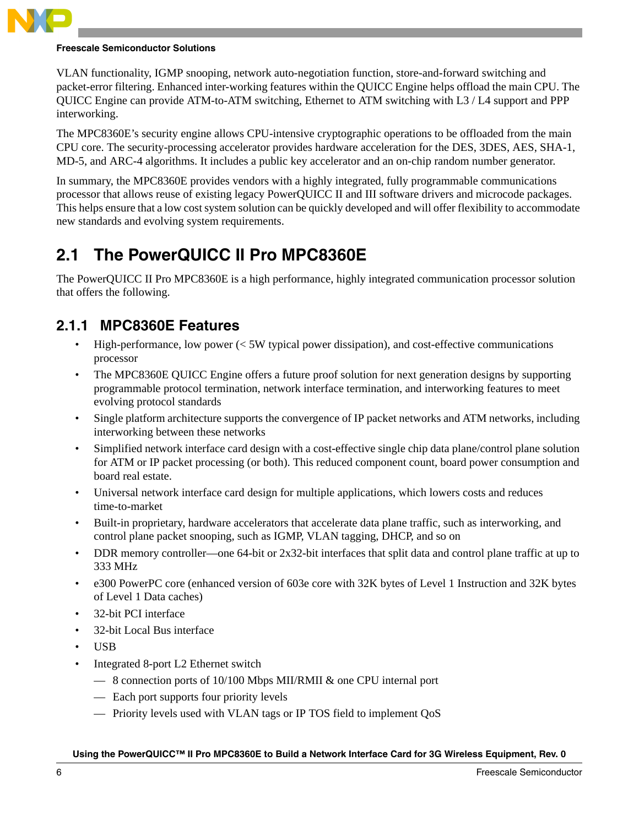

VLAN functionality, IGMP snooping, network auto-negotiation function, store-and-forward switching and packet-error filtering. Enhanced inter-working features within the QUICC Engine helps offload the main CPU. The QUICC Engine can provide ATM-to-ATM switching, Ethernet to ATM switching with L3 / L4 support and PPP interworking.

The MPC8360E's security engine allows CPU-intensive cryptographic operations to be offloaded from the main CPU core. The security-processing accelerator provides hardware acceleration for the DES, 3DES, AES, SHA-1, MD-5, and ARC-4 algorithms. It includes a public key accelerator and an on-chip random number generator.

In summary, the MPC8360E provides vendors with a highly integrated, fully programmable communications processor that allows reuse of existing legacy PowerQUICC II and III software drivers and microcode packages. This helps ensure that a low cost system solution can be quickly developed and will offer flexibility to accommodate new standards and evolving system requirements.

# <span id="page-5-0"></span>**2.1 The PowerQUICC II Pro MPC8360E**

The PowerQUICC II Pro MPC8360E is a high performance, highly integrated communication processor solution that offers the following.

## **2.1.1 MPC8360E Features**

- High-performance, low power  $\leq 5W$  typical power dissipation), and cost-effective communications processor
- The MPC8360E QUICC Engine offers a future proof solution for next generation designs by supporting programmable protocol termination, network interface termination, and interworking features to meet evolving protocol standards
- Single platform architecture supports the convergence of IP packet networks and ATM networks, including interworking between these networks
- Simplified network interface card design with a cost-effective single chip data plane/control plane solution for ATM or IP packet processing (or both). This reduced component count, board power consumption and board real estate.
- Universal network interface card design for multiple applications, which lowers costs and reduces time-to-market
- Built-in proprietary, hardware accelerators that accelerate data plane traffic, such as interworking, and control plane packet snooping, such as IGMP, VLAN tagging, DHCP, and so on
- DDR memory controller—one 64-bit or 2x32-bit interfaces that split data and control plane traffic at up to 333 MHz
- e300 PowerPC core (enhanced version of 603e core with 32K bytes of Level 1 Instruction and 32K bytes of Level 1 Data caches)
- 32-bit PCI interface
- 32-bit Local Bus interface
- USB
- Integrated 8-port L2 Ethernet switch
	- 8 connection ports of 10/100 Mbps MII/RMII & one CPU internal port
	- Each port supports four priority levels
	- Priority levels used with VLAN tags or IP TOS field to implement QoS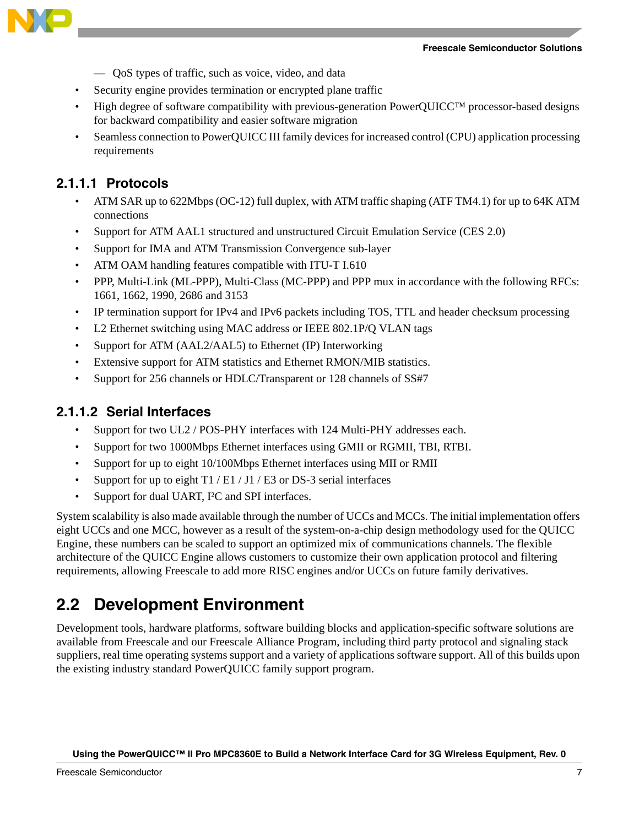

- QoS types of traffic, such as voice, video, and data
- Security engine provides termination or encrypted plane traffic
- High degree of software compatibility with previous-generation PowerQUICC<sup>™</sup> processor-based designs for backward compatibility and easier software migration
- Seamless connection to PowerQUICC III family devices for increased control (CPU) application processing requirements

## **2.1.1.1 Protocols**

- ATM SAR up to 622Mbps (OC-12) full duplex, with ATM traffic shaping (ATF TM4.1) for up to 64K ATM connections
- Support for ATM AAL1 structured and unstructured Circuit Emulation Service (CES 2.0)
- Support for IMA and ATM Transmission Convergence sub-layer
- ATM OAM handling features compatible with ITU-T I.610
- PPP, Multi-Link (ML-PPP), Multi-Class (MC-PPP) and PPP mux in accordance with the following RFCs: 1661, 1662, 1990, 2686 and 3153
- IP termination support for IPv4 and IPv6 packets including TOS, TTL and header checksum processing
- L2 Ethernet switching using MAC address or IEEE 802.1P/Q VLAN tags
- Support for ATM (AAL2/AAL5) to Ethernet (IP) Interworking
- Extensive support for ATM statistics and Ethernet RMON/MIB statistics.
- Support for 256 channels or HDLC/Transparent or 128 channels of SS#7

## **2.1.1.2 Serial Interfaces**

- Support for two UL2 / POS-PHY interfaces with 124 Multi-PHY addresses each.
- Support for two 1000Mbps Ethernet interfaces using GMII or RGMII, TBI, RTBI.
- Support for up to eight 10/100Mbps Ethernet interfaces using MII or RMII
- Support for up to eight  $T1 / E1 / J1 / E3$  or DS-3 serial interfaces
- Support for dual UART, I<sup>2</sup>C and SPI interfaces.

System scalability is also made available through the number of UCCs and MCCs. The initial implementation offers eight UCCs and one MCC, however as a result of the system-on-a-chip design methodology used for the QUICC Engine, these numbers can be scaled to support an optimized mix of communications channels. The flexible architecture of the QUICC Engine allows customers to customize their own application protocol and filtering requirements, allowing Freescale to add more RISC engines and/or UCCs on future family derivatives.

# <span id="page-6-0"></span>**2.2 Development Environment**

Development tools, hardware platforms, software building blocks and application-specific software solutions are available from Freescale and our Freescale Alliance Program, including third party protocol and signaling stack suppliers, real time operating systems support and a variety of applications software support. All of this builds upon the existing industry standard PowerQUICC family support program.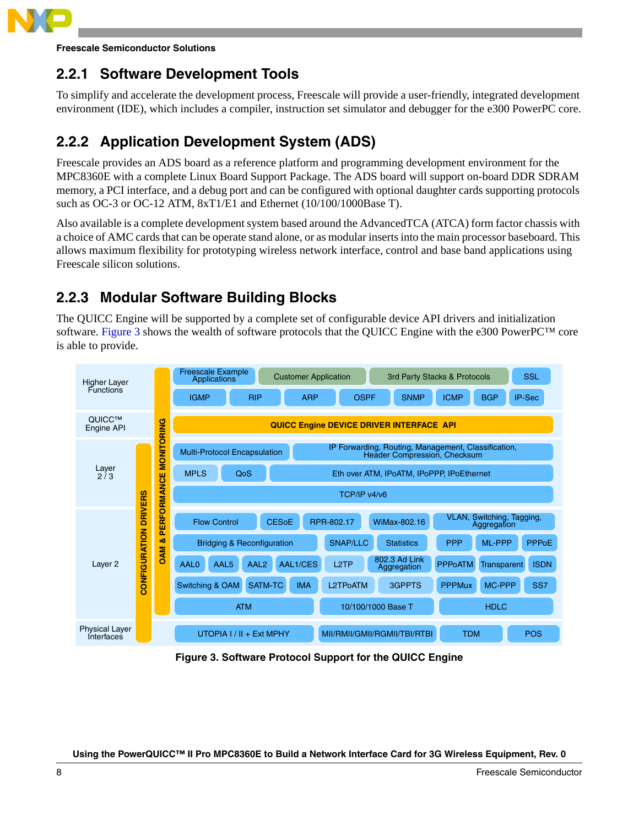

## **2.2.1 Software Development Tools**

To simplify and accelerate the development process, Freescale will provide a user-friendly, integrated development environment (IDE), which includes a compiler, instruction set simulator and debugger for the e300 PowerPC core.

# **2.2.2 Application Development System (ADS)**

Freescale provides an ADS board as a reference platform and programming development environment for the MPC8360E with a complete Linux Board Support Package. The ADS board will support on-board DDR SDRAM memory, a PCI interface, and a debug port and can be configured with optional daughter cards supporting protocols such as OC-3 or OC-12 ATM,  $8xT1/E1$  and Ethernet (10/100/1000Base T).

Also available is a complete development system based around the AdvancedTCA (ATCA) form factor chassis with a choice of AMC cards that can be operate stand alone, or as modular inserts into the main processor baseboard. This allows maximum flexibility for prototyping wireless network interface, control and base band applications using Freescale silicon solutions.

# **2.2.3 Modular Software Building Blocks**

The QUICC Engine will be supported by a complete set of configurable device API drivers and initialization software. [Figure 3](#page-7-0) shows the wealth of software protocols that the QUICC Engine with the e300 PowerPC™ core is able to provide.



<span id="page-7-0"></span>**Figure 3. Software Protocol Support for the QUICC Engine**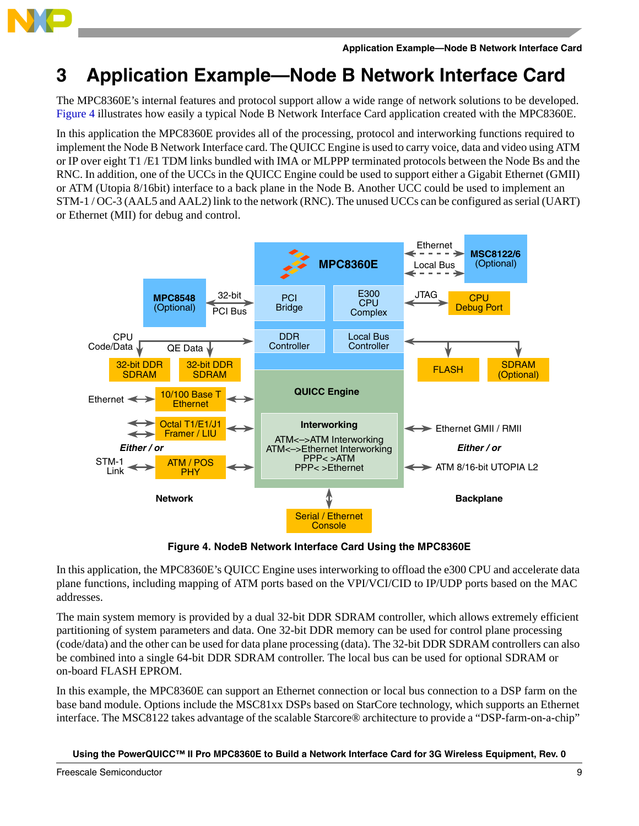

# <span id="page-8-0"></span>**3 Application Example—Node B Network Interface Card**

The MPC8360E's internal features and protocol support allow a wide range of network solutions to be developed. [Figure 4](#page-8-1) illustrates how easily a typical Node B Network Interface Card application created with the MPC8360E.

In this application the MPC8360E provides all of the processing, protocol and interworking functions required to implement the Node B Network Interface card. The QUICC Engine is used to carry voice, data and video using ATM or IP over eight T1 /E1 TDM links bundled with IMA or MLPPP terminated protocols between the Node Bs and the RNC. In addition, one of the UCCs in the QUICC Engine could be used to support either a Gigabit Ethernet (GMII) or ATM (Utopia 8/16bit) interface to a back plane in the Node B. Another UCC could be used to implement an STM-1 / OC-3 (AAL5 and AAL2) link to the network (RNC). The unused UCCs can be configured as serial (UART) or Ethernet (MII) for debug and control.



**Figure 4. NodeB Network Interface Card Using the MPC8360E**

<span id="page-8-1"></span>In this application, the MPC8360E's QUICC Engine uses interworking to offload the e300 CPU and accelerate data plane functions, including mapping of ATM ports based on the VPI/VCI/CID to IP/UDP ports based on the MAC addresses.

The main system memory is provided by a dual 32-bit DDR SDRAM controller, which allows extremely efficient partitioning of system parameters and data. One 32-bit DDR memory can be used for control plane processing (code/data) and the other can be used for data plane processing (data). The 32-bit DDR SDRAM controllers can also be combined into a single 64-bit DDR SDRAM controller. The local bus can be used for optional SDRAM or on-board FLASH EPROM.

In this example, the MPC8360E can support an Ethernet connection or local bus connection to a DSP farm on the base band module. Options include the MSC81xx DSPs based on StarCore technology, which supports an Ethernet interface. The MSC8122 takes advantage of the scalable Starcore® architecture to provide a "DSP-farm-on-a-chip"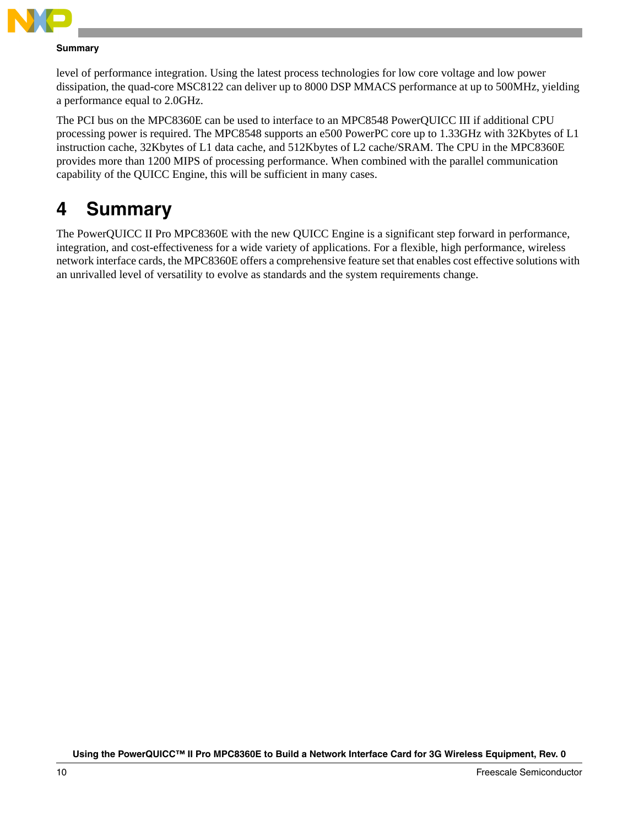

### **Summary**

level of performance integration. Using the latest process technologies for low core voltage and low power dissipation, the quad-core MSC8122 can deliver up to 8000 DSP MMACS performance at up to 500MHz, yielding a performance equal to 2.0GHz.

The PCI bus on the MPC8360E can be used to interface to an MPC8548 PowerQUICC III if additional CPU processing power is required. The MPC8548 supports an e500 PowerPC core up to 1.33GHz with 32Kbytes of L1 instruction cache, 32Kbytes of L1 data cache, and 512Kbytes of L2 cache/SRAM. The CPU in the MPC8360E provides more than 1200 MIPS of processing performance. When combined with the parallel communication capability of the QUICC Engine, this will be sufficient in many cases.

# <span id="page-9-0"></span>**4 Summary**

The PowerQUICC II Pro MPC8360E with the new QUICC Engine is a significant step forward in performance, integration, and cost-effectiveness for a wide variety of applications. For a flexible, high performance, wireless network interface cards, the MPC8360E offers a comprehensive feature set that enables cost effective solutions with an unrivalled level of versatility to evolve as standards and the system requirements change.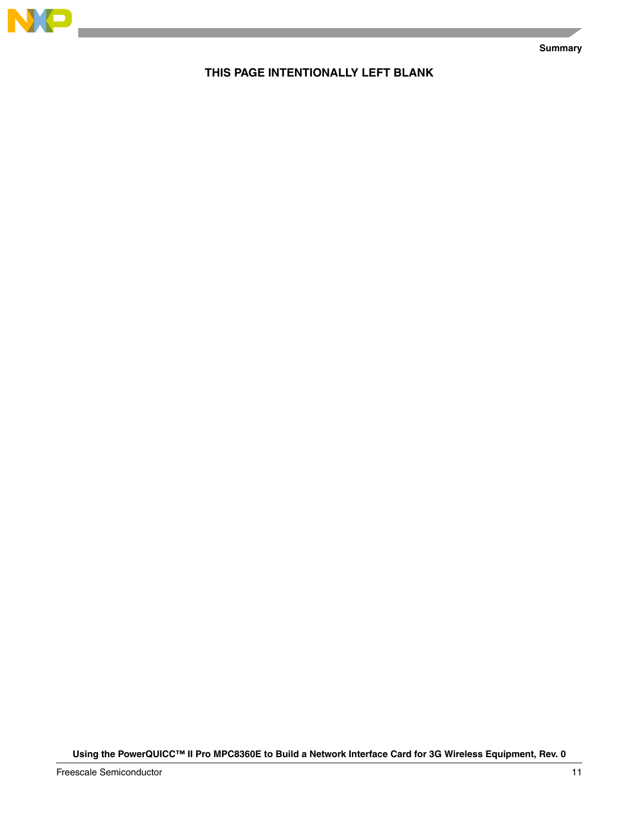

### **Summary**

## **THIS PAGE INTENTIONALLY LEFT BLANK**